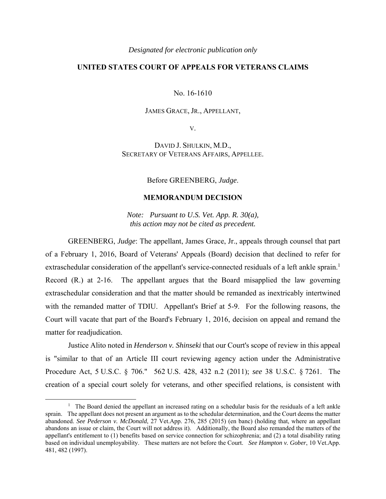## *Designated for electronic publication only*

## **UNITED STATES COURT OF APPEALS FOR VETERANS CLAIMS**

No. 16-1610

## JAMES GRACE, JR., APPELLANT,

V.

DAVID J. SHULKIN, M.D., SECRETARY OF VETERANS AFFAIRS, APPELLEE.

Before GREENBERG, *Judge*.

## **MEMORANDUM DECISION**

*Note: Pursuant to U.S. Vet. App. R. 30(a), this action may not be cited as precedent.*

GREENBERG, *Judge*: The appellant, James Grace, Jr., appeals through counsel that part of a February 1, 2016, Board of Veterans' Appeals (Board) decision that declined to refer for extraschedular consideration of the appellant's service-connected residuals of a left ankle sprain.<sup>1</sup> Record (R.) at 2-16. The appellant argues that the Board misapplied the law governing extraschedular consideration and that the matter should be remanded as inextricably intertwined with the remanded matter of TDIU. Appellant's Brief at 5-9. For the following reasons, the Court will vacate that part of the Board's February 1, 2016, decision on appeal and remand the matter for readjudication.

Justice Alito noted in *Henderson v. Shinseki* that our Court's scope of review in this appeal is "similar to that of an Article III court reviewing agency action under the Administrative Procedure Act, 5 U.S.C. § 706." 562 U.S. 428, 432 n.2 (2011); *see* 38 U.S.C. § 7261. The creation of a special court solely for veterans, and other specified relations, is consistent with

 $\begin{array}{c|c}\n\hline\n\text{1}\n\end{array}$  $<sup>1</sup>$  The Board denied the appellant an increased rating on a schedular basis for the residuals of a left ankle</sup> sprain. The appellant does not present an argument as to the schedular determination, and the Court deems the matter abandoned. *See Pederson v. McDonald*, 27 Vet.App. 276, 285 (2015) (en banc) (holding that, where an appellant abandons an issue or claim, the Court will not address it). Additionally, the Board also remanded the matters of the appellant's entitlement to (1) benefits based on service connection for schizophrenia; and (2) a total disability rating based on individual unemployability. These matters are not before the Court. *See Hampton v. Gober*, 10 Vet.App. 481, 482 (1997).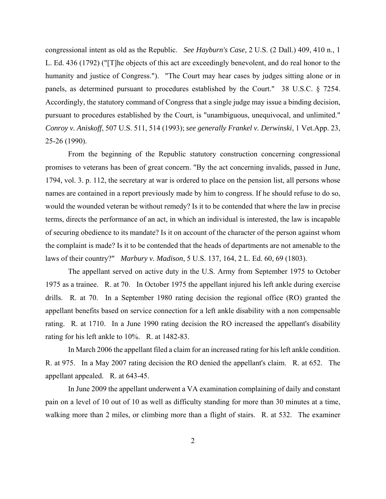congressional intent as old as the Republic. *See Hayburn's Case*, 2 U.S. (2 Dall.) 409, 410 n., 1 L. Ed. 436 (1792) ("[T]he objects of this act are exceedingly benevolent, and do real honor to the humanity and justice of Congress."). "The Court may hear cases by judges sitting alone or in panels, as determined pursuant to procedures established by the Court." 38 U.S.C. § 7254. Accordingly, the statutory command of Congress that a single judge may issue a binding decision, pursuant to procedures established by the Court, is "unambiguous, unequivocal, and unlimited." *Conroy v. Aniskoff*, 507 U.S. 511, 514 (1993); *see generally Frankel v. Derwinski*, 1 Vet.App. 23, 25-26 (1990).

From the beginning of the Republic statutory construction concerning congressional promises to veterans has been of great concern. "By the act concerning invalids, passed in June, 1794, vol. 3. p. 112, the secretary at war is ordered to place on the pension list, all persons whose names are contained in a report previously made by him to congress. If he should refuse to do so, would the wounded veteran be without remedy? Is it to be contended that where the law in precise terms, directs the performance of an act, in which an individual is interested, the law is incapable of securing obedience to its mandate? Is it on account of the character of the person against whom the complaint is made? Is it to be contended that the heads of departments are not amenable to the laws of their country?" *Marbury v. Madison*, 5 U.S. 137, 164, 2 L. Ed. 60, 69 (1803).

 The appellant served on active duty in the U.S. Army from September 1975 to October 1975 as a trainee. R. at 70. In October 1975 the appellant injured his left ankle during exercise drills. R. at 70. In a September 1980 rating decision the regional office (RO) granted the appellant benefits based on service connection for a left ankle disability with a non compensable rating. R. at 1710. In a June 1990 rating decision the RO increased the appellant's disability rating for his left ankle to 10%. R. at 1482-83.

In March 2006 the appellant filed a claim for an increased rating for his left ankle condition. R. at 975. In a May 2007 rating decision the RO denied the appellant's claim. R. at 652. The appellant appealed. R. at 643-45.

 In June 2009 the appellant underwent a VA examination complaining of daily and constant pain on a level of 10 out of 10 as well as difficulty standing for more than 30 minutes at a time, walking more than 2 miles, or climbing more than a flight of stairs. R. at 532. The examiner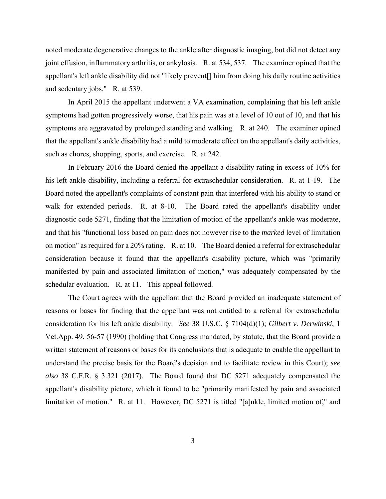noted moderate degenerative changes to the ankle after diagnostic imaging, but did not detect any joint effusion, inflammatory arthritis, or ankylosis. R. at 534, 537. The examiner opined that the appellant's left ankle disability did not "likely prevent[] him from doing his daily routine activities and sedentary jobs." R. at 539.

 In April 2015 the appellant underwent a VA examination, complaining that his left ankle symptoms had gotten progressively worse, that his pain was at a level of 10 out of 10, and that his symptoms are aggravated by prolonged standing and walking. R. at 240. The examiner opined that the appellant's ankle disability had a mild to moderate effect on the appellant's daily activities, such as chores, shopping, sports, and exercise. R. at 242.

 In February 2016 the Board denied the appellant a disability rating in excess of 10% for his left ankle disability, including a referral for extraschedular consideration. R. at 1-19. The Board noted the appellant's complaints of constant pain that interfered with his ability to stand or walk for extended periods. R. at 8-10. The Board rated the appellant's disability under diagnostic code 5271, finding that the limitation of motion of the appellant's ankle was moderate, and that his "functional loss based on pain does not however rise to the *marked* level of limitation on motion" as required for a 20% rating. R. at 10. The Board denied a referral for extraschedular consideration because it found that the appellant's disability picture, which was "primarily manifested by pain and associated limitation of motion," was adequately compensated by the schedular evaluation. R. at 11. This appeal followed.

 The Court agrees with the appellant that the Board provided an inadequate statement of reasons or bases for finding that the appellant was not entitled to a referral for extraschedular consideration for his left ankle disability. *See* 38 U.S.C. § 7104(d)(1); *Gilbert v. Derwinski*, 1 Vet.App. 49, 56-57 (1990) (holding that Congress mandated, by statute, that the Board provide a written statement of reasons or bases for its conclusions that is adequate to enable the appellant to understand the precise basis for the Board's decision and to facilitate review in this Court); *see also* 38 C.F.R. § 3.321 (2017). The Board found that DC 5271 adequately compensated the appellant's disability picture, which it found to be "primarily manifested by pain and associated limitation of motion." R. at 11. However, DC 5271 is titled "[a]nkle, limited motion of," and